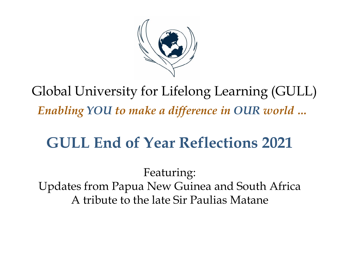

Global University for Lifelong Learning (GULL) *Enabling YOU to make a difference in OUR world …*

# **GULL End of Year Reflections 2021**

Featuring: Updates from Papua New Guinea and South Africa A tribute to the late Sir Paulias Matane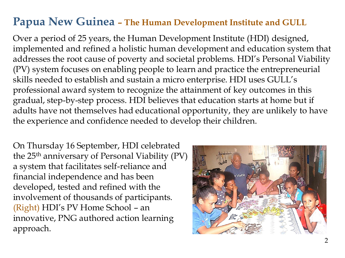### **Papua New Guinea – The Human Development Institute and GULL**

Over a period of 25 years, the Human Development Institute (HDI) designed, implemented and refined a holistic human development and education system that addresses the root cause of poverty and societal problems. HDI's Personal Viability (PV) system focuses on enabling people to learn and practice the entrepreneurial skills needed to establish and sustain a micro enterprise. HDI uses GULL's professional award system to recognize the attainment of key outcomes in this gradual, step-by-step process. HDI believes that education starts at home but if adults have not themselves had educational opportunity, they are unlikely to have the experience and confidence needed to develop their children.

On Thursday 16 September, HDI celebrated the 25<sup>th</sup> anniversary of Personal Viability (PV) a system that facilitates self-reliance and financial independence and has been developed, tested and refined with the involvement of thousands of participants. (Right) HDI's PV Home School – an innovative, PNG authored action learning approach.

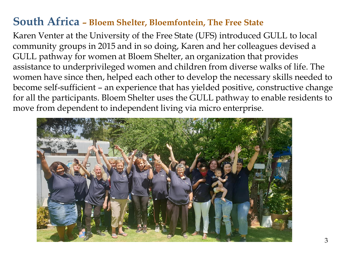#### **South Africa – Bloem Shelter, Bloemfontein, The Free State**

Karen Venter at the University of the Free State (UFS) introduced GULL to local community groups in 2015 and in so doing, Karen and her colleagues devised a GULL pathway for women at Bloem Shelter, an organization that provides assistance to underprivileged women and children from diverse walks of life. The women have since then, helped each other to develop the necessary skills needed to become self-sufficient – an experience that has yielded positive, constructive change for all the participants. Bloem Shelter uses the GULL pathway to enable residents to move from dependent to independent living via micro enterprise.

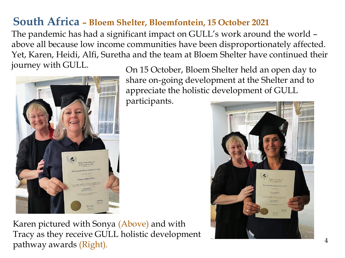#### **South Africa – Bloem Shelter, Bloemfontein, 15 October 2021**

The pandemic has had a significant impact on GULL's work around the world – above all because low income communities have been disproportionately affected. Yet, Karen, Heidi, Alfi, Suretha and the team at Bloem Shelter have continued their journey with GULL.



On 15 October, Bloem Shelter held an open day to share on-going development at the Shelter and to appreciate the holistic development of GULL

participants.



Karen pictured with Sonya (Above) and with Tracy as they receive GULL holistic development pathway awards (Right).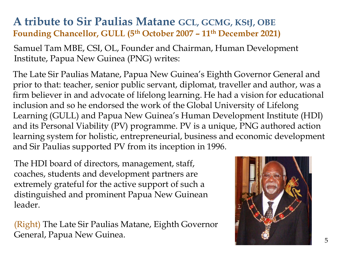#### **A tribute to Sir Paulias Matane GCL, GCMG, KStJ, OBE Founding Chancellor, GULL (5th October 2007 – 11th December 2021)**

Samuel Tam MBE, CSI, OL, Founder and Chairman, Human Development Institute, Papua New Guinea (PNG) writes:

The Late Sir Paulias Matane, Papua New Guinea's Eighth Governor General and prior to that: teacher, senior public servant, diplomat, traveller and author, was a firm believer in and advocate of lifelong learning. He had a vision for educational inclusion and so he endorsed the work of the Global University of Lifelong Learning (GULL) and Papua New Guinea's Human Development Institute (HDI) and its Personal Viability (PV) programme. PV is a unique, PNG authored action learning system for holistic, entrepreneurial, business and economic development and Sir Paulias supported PV from its inception in 1996.

The HDI board of directors, management, staff, coaches, students and development partners are extremely grateful for the active support of such a distinguished and prominent Papua New Guinean leader.

(Right) The Late Sir Paulias Matane, Eighth Governor General, Papua New Guinea.

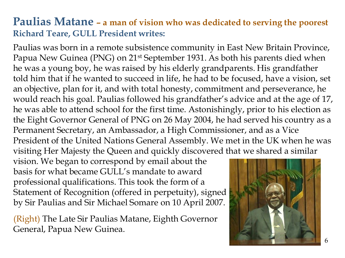#### **Paulias Matane – a man of vision who was dedicated to serving the poorest Richard Teare, GULL President writes:**

Paulias was born in a remote subsistence community in East New Britain Province, Papua New Guinea (PNG) on 21<sup>st</sup> September 1931. As both his parents died when he was a young boy, he was raised by his elderly grandparents. His grandfather told him that if he wanted to succeed in life, he had to be focused, have a vision, set an objective, plan for it, and with total honesty, commitment and perseverance, he would reach his goal. Paulias followed his grandfather's advice and at the age of 17, he was able to attend school for the first time. Astonishingly, prior to his election as the Eight Governor General of PNG on 26 May 2004, he had served his country as a Permanent Secretary, an Ambassador, a High Commissioner, and as a Vice President of the United Nations General Assembly. We met in the UK when he was visiting Her Majesty the Queen and quickly discovered that we shared a similar

vision. We began to correspond by email about the basis for what became GULL's mandate to award professional qualifications. This took the form of a Statement of Recognition (offered in perpetuity), signed by Sir Paulias and Sir Michael Somare on 10 April 2007.

(Right) The Late Sir Paulias Matane, Eighth Governor General, Papua New Guinea.